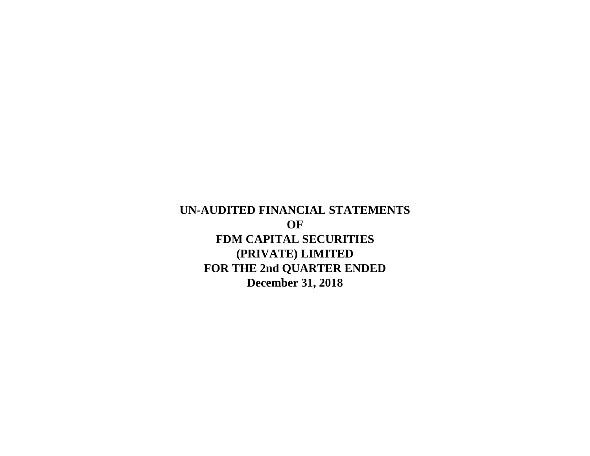**December 31, 2018 UN-AUDITED FINANCIAL STATEMENTS OF FDM CAPITAL SECURITIES (PRIVATE) LIMITED FOR THE 2nd QUARTER ENDED**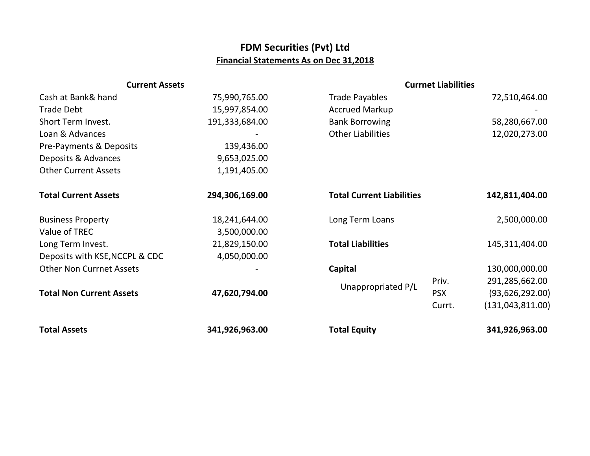## **FDM Securities (Pvt) Ltd Financial Statements As on Dec 31,2018**

| <b>Current Assets</b>           |                | <b>Currnet Liabilities</b>       |            |                    |
|---------------------------------|----------------|----------------------------------|------------|--------------------|
| Cash at Bank& hand              | 75,990,765.00  | <b>Trade Payables</b>            |            | 72,510,464.00      |
| <b>Trade Debt</b>               | 15,997,854.00  | <b>Accrued Markup</b>            |            |                    |
| Short Term Invest.              | 191,333,684.00 | <b>Bank Borrowing</b>            |            | 58,280,667.00      |
| Loan & Advances                 |                | <b>Other Liabilities</b>         |            | 12,020,273.00      |
| Pre-Payments & Deposits         | 139,436.00     |                                  |            |                    |
| Deposits & Advances             | 9,653,025.00   |                                  |            |                    |
| <b>Other Current Assets</b>     | 1,191,405.00   |                                  |            |                    |
| <b>Total Current Assets</b>     | 294,306,169.00 | <b>Total Current Liabilities</b> |            | 142,811,404.00     |
| <b>Business Property</b>        | 18,241,644.00  | Long Term Loans                  |            | 2,500,000.00       |
| Value of TREC                   | 3,500,000.00   |                                  |            |                    |
| Long Term Invest.               | 21,829,150.00  | <b>Total Liabilities</b>         |            | 145,311,404.00     |
| Deposits with KSE, NCCPL & CDC  | 4,050,000.00   |                                  |            |                    |
| <b>Other Non Currnet Assets</b> |                | Capital                          |            | 130,000,000.00     |
|                                 |                |                                  | Priv.      | 291,285,662.00     |
| <b>Total Non Current Assets</b> | 47,620,794.00  | Unappropriated P/L               | <b>PSX</b> | (93, 626, 292.00)  |
|                                 |                |                                  | Currt.     | (131, 043, 811.00) |
| <b>Total Assets</b>             | 341,926,963.00 | <b>Total Equity</b>              |            | 341,926,963.00     |